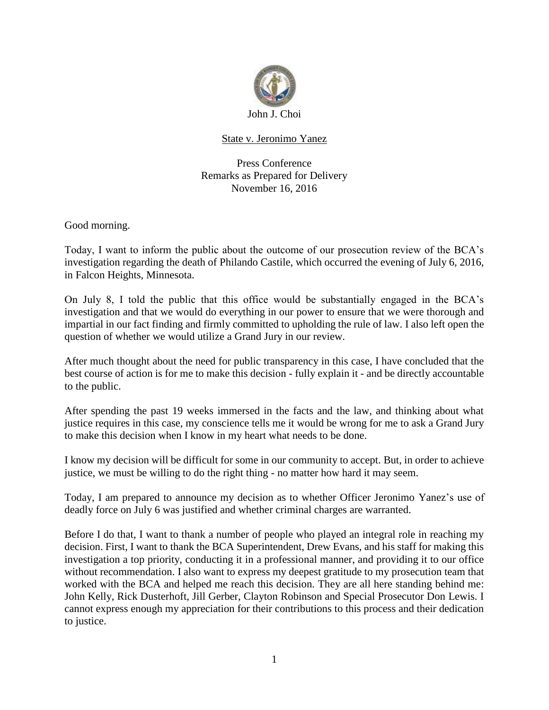

## State v. Jeronimo Yanez

Press Conference Remarks as Prepared for Delivery November 16, 2016

Good morning.

Today, I want to inform the public about the outcome of our prosecution review of the BCA's investigation regarding the death of Philando Castile, which occurred the evening of July 6, 2016, in Falcon Heights, Minnesota.

On July 8, I told the public that this office would be substantially engaged in the BCA's investigation and that we would do everything in our power to ensure that we were thorough and impartial in our fact finding and firmly committed to upholding the rule of law. I also left open the question of whether we would utilize a Grand Jury in our review.

After much thought about the need for public transparency in this case, I have concluded that the best course of action is for me to make this decision - fully explain it - and be directly accountable to the public.

After spending the past 19 weeks immersed in the facts and the law, and thinking about what justice requires in this case, my conscience tells me it would be wrong for me to ask a Grand Jury to make this decision when I know in my heart what needs to be done.

I know my decision will be difficult for some in our community to accept. But, in order to achieve justice, we must be willing to do the right thing - no matter how hard it may seem.

Today, I am prepared to announce my decision as to whether Officer Jeronimo Yanez's use of deadly force on July 6 was justified and whether criminal charges are warranted.

Before I do that, I want to thank a number of people who played an integral role in reaching my decision. First, I want to thank the BCA Superintendent, Drew Evans, and his staff for making this investigation a top priority, conducting it in a professional manner, and providing it to our office without recommendation. I also want to express my deepest gratitude to my prosecution team that worked with the BCA and helped me reach this decision. They are all here standing behind me: John Kelly, Rick Dusterhoft, Jill Gerber, Clayton Robinson and Special Prosecutor Don Lewis. I cannot express enough my appreciation for their contributions to this process and their dedication to justice.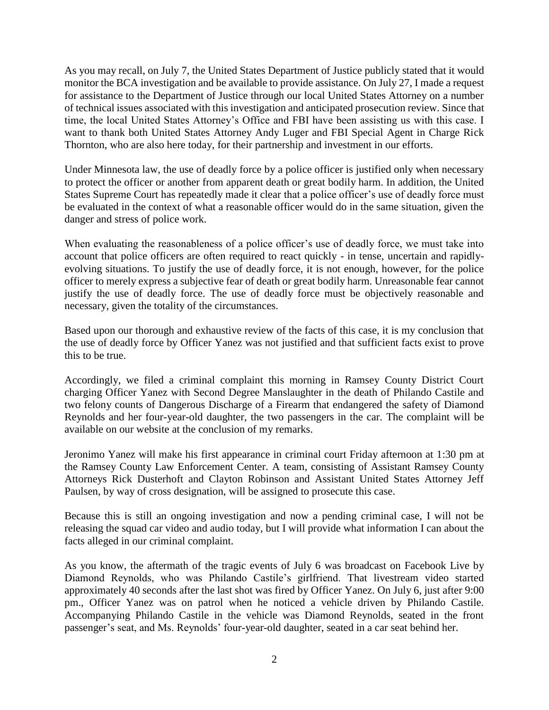As you may recall, on July 7, the United States Department of Justice publicly stated that it would monitor the BCA investigation and be available to provide assistance. On July 27, I made a request for assistance to the Department of Justice through our local United States Attorney on a number of technical issues associated with this investigation and anticipated prosecution review. Since that time, the local United States Attorney's Office and FBI have been assisting us with this case. I want to thank both United States Attorney Andy Luger and FBI Special Agent in Charge Rick Thornton, who are also here today, for their partnership and investment in our efforts.

Under Minnesota law, the use of deadly force by a police officer is justified only when necessary to protect the officer or another from apparent death or great bodily harm. In addition, the United States Supreme Court has repeatedly made it clear that a police officer's use of deadly force must be evaluated in the context of what a reasonable officer would do in the same situation, given the danger and stress of police work.

When evaluating the reasonableness of a police officer's use of deadly force, we must take into account that police officers are often required to react quickly - in tense, uncertain and rapidlyevolving situations. To justify the use of deadly force, it is not enough, however, for the police officer to merely express a subjective fear of death or great bodily harm. Unreasonable fear cannot justify the use of deadly force. The use of deadly force must be objectively reasonable and necessary, given the totality of the circumstances.

Based upon our thorough and exhaustive review of the facts of this case, it is my conclusion that the use of deadly force by Officer Yanez was not justified and that sufficient facts exist to prove this to be true.

Accordingly, we filed a criminal complaint this morning in Ramsey County District Court charging Officer Yanez with Second Degree Manslaughter in the death of Philando Castile and two felony counts of Dangerous Discharge of a Firearm that endangered the safety of Diamond Reynolds and her four-year-old daughter, the two passengers in the car. The complaint will be available on our website at the conclusion of my remarks.

Jeronimo Yanez will make his first appearance in criminal court Friday afternoon at 1:30 pm at the Ramsey County Law Enforcement Center. A team, consisting of Assistant Ramsey County Attorneys Rick Dusterhoft and Clayton Robinson and Assistant United States Attorney Jeff Paulsen, by way of cross designation, will be assigned to prosecute this case.

Because this is still an ongoing investigation and now a pending criminal case, I will not be releasing the squad car video and audio today, but I will provide what information I can about the facts alleged in our criminal complaint.

As you know, the aftermath of the tragic events of July 6 was broadcast on Facebook Live by Diamond Reynolds, who was Philando Castile's girlfriend. That livestream video started approximately 40 seconds after the last shot was fired by Officer Yanez. On July 6, just after 9:00 pm., Officer Yanez was on patrol when he noticed a vehicle driven by Philando Castile. Accompanying Philando Castile in the vehicle was Diamond Reynolds, seated in the front passenger's seat, and Ms. Reynolds' four-year-old daughter, seated in a car seat behind her.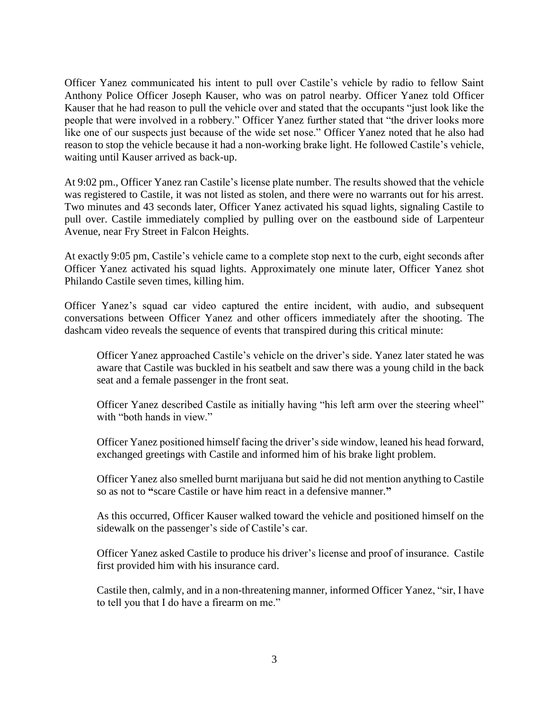Officer Yanez communicated his intent to pull over Castile's vehicle by radio to fellow Saint Anthony Police Officer Joseph Kauser, who was on patrol nearby. Officer Yanez told Officer Kauser that he had reason to pull the vehicle over and stated that the occupants "just look like the people that were involved in a robbery." Officer Yanez further stated that "the driver looks more like one of our suspects just because of the wide set nose." Officer Yanez noted that he also had reason to stop the vehicle because it had a non-working brake light. He followed Castile's vehicle, waiting until Kauser arrived as back-up.

At 9:02 pm., Officer Yanez ran Castile's license plate number. The results showed that the vehicle was registered to Castile, it was not listed as stolen, and there were no warrants out for his arrest. Two minutes and 43 seconds later, Officer Yanez activated his squad lights, signaling Castile to pull over. Castile immediately complied by pulling over on the eastbound side of Larpenteur Avenue, near Fry Street in Falcon Heights.

At exactly 9:05 pm, Castile's vehicle came to a complete stop next to the curb, eight seconds after Officer Yanez activated his squad lights. Approximately one minute later, Officer Yanez shot Philando Castile seven times, killing him.

Officer Yanez's squad car video captured the entire incident, with audio, and subsequent conversations between Officer Yanez and other officers immediately after the shooting. The dashcam video reveals the sequence of events that transpired during this critical minute:

Officer Yanez approached Castile's vehicle on the driver's side. Yanez later stated he was aware that Castile was buckled in his seatbelt and saw there was a young child in the back seat and a female passenger in the front seat.

Officer Yanez described Castile as initially having "his left arm over the steering wheel" with "both hands in view."

Officer Yanez positioned himself facing the driver's side window, leaned his head forward, exchanged greetings with Castile and informed him of his brake light problem.

Officer Yanez also smelled burnt marijuana but said he did not mention anything to Castile so as not to **"**scare Castile or have him react in a defensive manner.**"** 

As this occurred, Officer Kauser walked toward the vehicle and positioned himself on the sidewalk on the passenger's side of Castile's car.

Officer Yanez asked Castile to produce his driver's license and proof of insurance. Castile first provided him with his insurance card.

Castile then, calmly, and in a non-threatening manner, informed Officer Yanez, "sir, I have to tell you that I do have a firearm on me."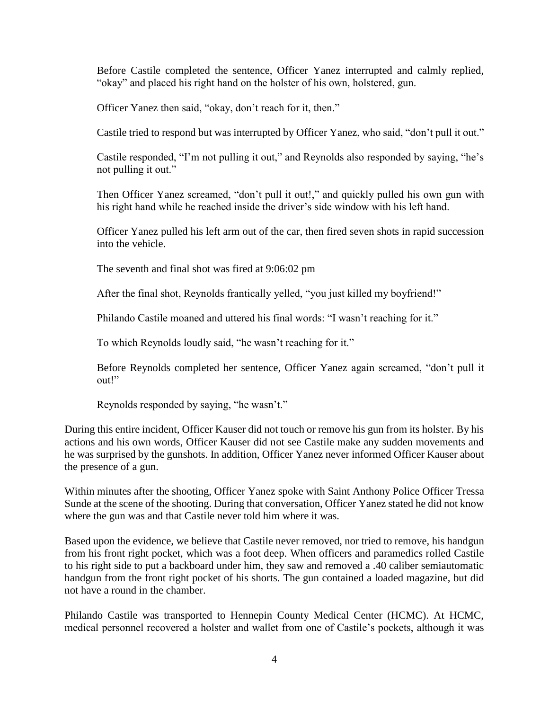Before Castile completed the sentence, Officer Yanez interrupted and calmly replied, "okay" and placed his right hand on the holster of his own, holstered, gun.

Officer Yanez then said, "okay, don't reach for it, then."

Castile tried to respond but was interrupted by Officer Yanez, who said, "don't pull it out."

Castile responded, "I'm not pulling it out," and Reynolds also responded by saying, "he's not pulling it out."

Then Officer Yanez screamed, "don't pull it out!," and quickly pulled his own gun with his right hand while he reached inside the driver's side window with his left hand.

Officer Yanez pulled his left arm out of the car, then fired seven shots in rapid succession into the vehicle.

The seventh and final shot was fired at 9:06:02 pm

After the final shot, Reynolds frantically yelled, "you just killed my boyfriend!"

Philando Castile moaned and uttered his final words: "I wasn't reaching for it."

To which Reynolds loudly said, "he wasn't reaching for it."

Before Reynolds completed her sentence, Officer Yanez again screamed, "don't pull it out!"

Reynolds responded by saying, "he wasn't."

During this entire incident, Officer Kauser did not touch or remove his gun from its holster. By his actions and his own words, Officer Kauser did not see Castile make any sudden movements and he was surprised by the gunshots. In addition, Officer Yanez never informed Officer Kauser about the presence of a gun.

Within minutes after the shooting, Officer Yanez spoke with Saint Anthony Police Officer Tressa Sunde at the scene of the shooting. During that conversation, Officer Yanez stated he did not know where the gun was and that Castile never told him where it was.

Based upon the evidence, we believe that Castile never removed, nor tried to remove, his handgun from his front right pocket, which was a foot deep. When officers and paramedics rolled Castile to his right side to put a backboard under him, they saw and removed a .40 caliber semiautomatic handgun from the front right pocket of his shorts. The gun contained a loaded magazine, but did not have a round in the chamber.

Philando Castile was transported to Hennepin County Medical Center (HCMC). At HCMC, medical personnel recovered a holster and wallet from one of Castile's pockets, although it was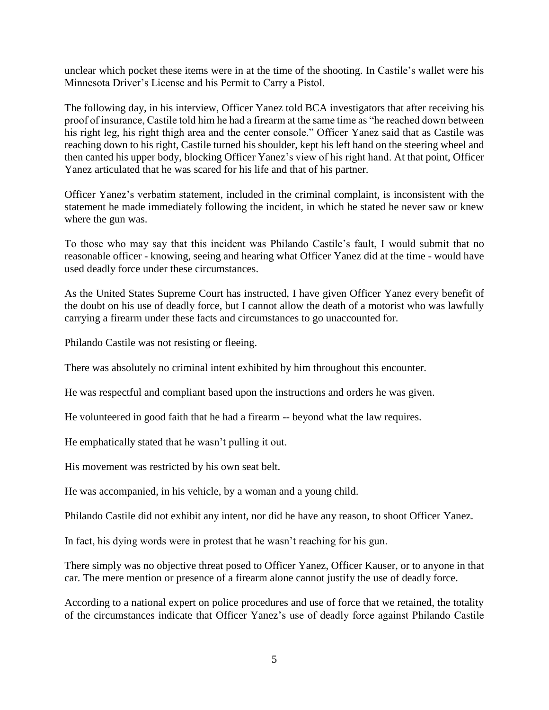unclear which pocket these items were in at the time of the shooting. In Castile's wallet were his Minnesota Driver's License and his Permit to Carry a Pistol.

The following day, in his interview, Officer Yanez told BCA investigators that after receiving his proof of insurance, Castile told him he had a firearm at the same time as "he reached down between his right leg, his right thigh area and the center console." Officer Yanez said that as Castile was reaching down to his right, Castile turned his shoulder, kept his left hand on the steering wheel and then canted his upper body, blocking Officer Yanez's view of his right hand. At that point, Officer Yanez articulated that he was scared for his life and that of his partner.

Officer Yanez's verbatim statement, included in the criminal complaint, is inconsistent with the statement he made immediately following the incident, in which he stated he never saw or knew where the gun was.

To those who may say that this incident was Philando Castile's fault, I would submit that no reasonable officer - knowing, seeing and hearing what Officer Yanez did at the time - would have used deadly force under these circumstances.

As the United States Supreme Court has instructed, I have given Officer Yanez every benefit of the doubt on his use of deadly force, but I cannot allow the death of a motorist who was lawfully carrying a firearm under these facts and circumstances to go unaccounted for.

Philando Castile was not resisting or fleeing.

There was absolutely no criminal intent exhibited by him throughout this encounter.

He was respectful and compliant based upon the instructions and orders he was given.

He volunteered in good faith that he had a firearm -- beyond what the law requires.

He emphatically stated that he wasn't pulling it out.

His movement was restricted by his own seat belt.

He was accompanied, in his vehicle, by a woman and a young child.

Philando Castile did not exhibit any intent, nor did he have any reason, to shoot Officer Yanez.

In fact, his dying words were in protest that he wasn't reaching for his gun.

There simply was no objective threat posed to Officer Yanez, Officer Kauser, or to anyone in that car. The mere mention or presence of a firearm alone cannot justify the use of deadly force.

According to a national expert on police procedures and use of force that we retained, the totality of the circumstances indicate that Officer Yanez's use of deadly force against Philando Castile